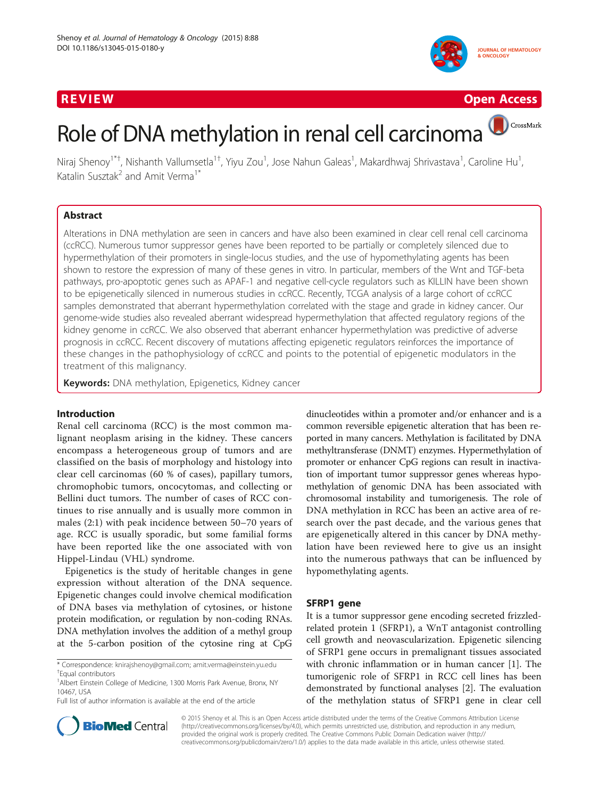# R EVI EW Open Access of the United States of the United States of the United States of the United States of th





CrossMark

# Role of DNA methylation in renal cell carcinoma

Niraj Shenoy<sup>1\*†</sup>, Nishanth Vallumsetla<sup>1†</sup>, Yiyu Zou<sup>1</sup>, Jose Nahun Galeas<sup>1</sup>, Makardhwaj Shrivastava<sup>1</sup>, Caroline Hu<sup>1</sup> , Katalin Susztak<sup>2</sup> and Amit Verma<sup>1\*</sup>

## Abstract

Alterations in DNA methylation are seen in cancers and have also been examined in clear cell renal cell carcinoma (ccRCC). Numerous tumor suppressor genes have been reported to be partially or completely silenced due to hypermethylation of their promoters in single-locus studies, and the use of hypomethylating agents has been shown to restore the expression of many of these genes in vitro. In particular, members of the Wnt and TGF-beta pathways, pro-apoptotic genes such as APAF-1 and negative cell-cycle regulators such as KILLIN have been shown to be epigenetically silenced in numerous studies in ccRCC. Recently, TCGA analysis of a large cohort of ccRCC samples demonstrated that aberrant hypermethylation correlated with the stage and grade in kidney cancer. Our genome-wide studies also revealed aberrant widespread hypermethylation that affected regulatory regions of the kidney genome in ccRCC. We also observed that aberrant enhancer hypermethylation was predictive of adverse prognosis in ccRCC. Recent discovery of mutations affecting epigenetic regulators reinforces the importance of these changes in the pathophysiology of ccRCC and points to the potential of epigenetic modulators in the treatment of this malignancy.

Keywords: DNA methylation, Epigenetics, Kidney cancer

## Introduction

Renal cell carcinoma (RCC) is the most common malignant neoplasm arising in the kidney. These cancers encompass a heterogeneous group of tumors and are classified on the basis of morphology and histology into clear cell carcinomas (60 % of cases), papillary tumors, chromophobic tumors, oncocytomas, and collecting or Bellini duct tumors. The number of cases of RCC continues to rise annually and is usually more common in males (2:1) with peak incidence between 50–70 years of age. RCC is usually sporadic, but some familial forms have been reported like the one associated with von Hippel-Lindau (VHL) syndrome.

Epigenetics is the study of heritable changes in gene expression without alteration of the DNA sequence. Epigenetic changes could involve chemical modification of DNA bases via methylation of cytosines, or histone protein modification, or regulation by non-coding RNAs. DNA methylation involves the addition of a methyl group at the 5-carbon position of the cytosine ring at CpG

\* Correspondence: [knirajshenoy@gmail.com;](mailto:knirajshenoy@gmail.com) [amit.verma@einstein.yu.edu](mailto:amit.verma@einstein.yu.edu) † Equal contributors

Full list of author information is available at the end of the article

dinucleotides within a promoter and/or enhancer and is a common reversible epigenetic alteration that has been reported in many cancers. Methylation is facilitated by DNA methyltransferase (DNMT) enzymes. Hypermethylation of promoter or enhancer CpG regions can result in inactivation of important tumor suppressor genes whereas hypomethylation of genomic DNA has been associated with chromosomal instability and tumorigenesis. The role of DNA methylation in RCC has been an active area of research over the past decade, and the various genes that are epigenetically altered in this cancer by DNA methylation have been reviewed here to give us an insight into the numerous pathways that can be influenced by hypomethylating agents.

#### SFRP1 gene

It is a tumor suppressor gene encoding secreted frizzledrelated protein 1 (SFRP1), a WnT antagonist controlling cell growth and neovascularization. Epigenetic silencing of SFRP1 gene occurs in premalignant tissues associated with chronic inflammation or in human cancer [[1\]](#page-10-0). The tumorigenic role of SFRP1 in RCC cell lines has been demonstrated by functional analyses [[2\]](#page-10-0). The evaluation of the methylation status of SFRP1 gene in clear cell



© 2015 Shenoy et al. This is an Open Access article distributed under the terms of the Creative Commons Attribution License [\(http://creativecommons.org/licenses/by/4.0\)](http://creativecommons.org/licenses/by/4.0), which permits unrestricted use, distribution, and reproduction in any medium, provided the original work is properly credited. The Creative Commons Public Domain Dedication waiver [\(http://](http://creativecommons.org/publicdomain/zero/1.0/) [creativecommons.org/publicdomain/zero/1.0/\)](http://creativecommons.org/publicdomain/zero/1.0/) applies to the data made available in this article, unless otherwise stated.

<sup>&</sup>lt;sup>1</sup> Albert Einstein College of Medicine, 1300 Morris Park Avenue, Bronx, NY 10467, USA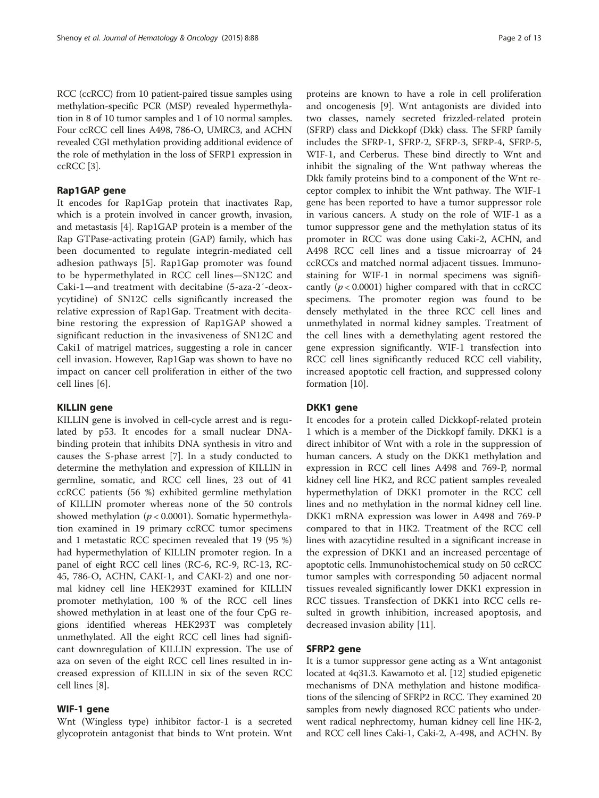RCC (ccRCC) from 10 patient-paired tissue samples using methylation-specific PCR (MSP) revealed hypermethylation in 8 of 10 tumor samples and 1 of 10 normal samples. Four ccRCC cell lines A498, 786-O, UMRC3, and ACHN revealed CGI methylation providing additional evidence of the role of methylation in the loss of SFRP1 expression in ccRCC [\[3\]](#page-10-0).

## Rap1GAP gene

It encodes for Rap1Gap protein that inactivates Rap, which is a protein involved in cancer growth, invasion, and metastasis [[4\]](#page-10-0). Rap1GAP protein is a member of the Rap GTPase-activating protein (GAP) family, which has been documented to regulate integrin-mediated cell adhesion pathways [\[5](#page-10-0)]. Rap1Gap promoter was found to be hypermethylated in RCC cell lines—SN12C and Caki-1—and treatment with decitabine (5-aza-2′-deoxycytidine) of SN12C cells significantly increased the relative expression of Rap1Gap. Treatment with decitabine restoring the expression of Rap1GAP showed a significant reduction in the invasiveness of SN12C and Caki1 of matrigel matrices, suggesting a role in cancer cell invasion. However, Rap1Gap was shown to have no impact on cancer cell proliferation in either of the two cell lines [\[6](#page-10-0)].

#### KILLIN gene

KILLIN gene is involved in cell-cycle arrest and is regulated by p53. It encodes for a small nuclear DNAbinding protein that inhibits DNA synthesis in vitro and causes the S-phase arrest [[7\]](#page-10-0). In a study conducted to determine the methylation and expression of KILLIN in germline, somatic, and RCC cell lines, 23 out of 41 ccRCC patients (56 %) exhibited germline methylation of KILLIN promoter whereas none of the 50 controls showed methylation ( $p < 0.0001$ ). Somatic hypermethylation examined in 19 primary ccRCC tumor specimens and 1 metastatic RCC specimen revealed that 19 (95 %) had hypermethylation of KILLIN promoter region. In a panel of eight RCC cell lines (RC-6, RC-9, RC-13, RC-45, 786-O, ACHN, CAKI-1, and CAKI-2) and one normal kidney cell line HEK293T examined for KILLIN promoter methylation, 100 % of the RCC cell lines showed methylation in at least one of the four CpG regions identified whereas HEK293T was completely unmethylated. All the eight RCC cell lines had significant downregulation of KILLIN expression. The use of aza on seven of the eight RCC cell lines resulted in increased expression of KILLIN in six of the seven RCC cell lines [\[8](#page-10-0)].

#### WIF-1 gene

Wnt (Wingless type) inhibitor factor-1 is a secreted glycoprotein antagonist that binds to Wnt protein. Wnt

proteins are known to have a role in cell proliferation and oncogenesis [[9](#page-10-0)]. Wnt antagonists are divided into two classes, namely secreted frizzled-related protein (SFRP) class and Dickkopf (Dkk) class. The SFRP family includes the SFRP-1, SFRP-2, SFRP-3, SFRP-4, SFRP-5, WIF-1, and Cerberus. These bind directly to Wnt and inhibit the signaling of the Wnt pathway whereas the Dkk family proteins bind to a component of the Wnt receptor complex to inhibit the Wnt pathway. The WIF-1 gene has been reported to have a tumor suppressor role in various cancers. A study on the role of WIF-1 as a tumor suppressor gene and the methylation status of its promoter in RCC was done using Caki-2, ACHN, and A498 RCC cell lines and a tissue microarray of 24 ccRCCs and matched normal adjacent tissues. Immunostaining for WIF-1 in normal specimens was significantly ( $p < 0.0001$ ) higher compared with that in ccRCC specimens. The promoter region was found to be densely methylated in the three RCC cell lines and unmethylated in normal kidney samples. Treatment of the cell lines with a demethylating agent restored the gene expression significantly. WIF-1 transfection into RCC cell lines significantly reduced RCC cell viability, increased apoptotic cell fraction, and suppressed colony formation [\[10](#page-10-0)].

## DKK1 gene

It encodes for a protein called Dickkopf-related protein 1 which is a member of the Dickkopf family. DKK1 is a direct inhibitor of Wnt with a role in the suppression of human cancers. A study on the DKK1 methylation and expression in RCC cell lines A498 and 769-P, normal kidney cell line HK2, and RCC patient samples revealed hypermethylation of DKK1 promoter in the RCC cell lines and no methylation in the normal kidney cell line. DKK1 mRNA expression was lower in A498 and 769-P compared to that in HK2. Treatment of the RCC cell lines with azacytidine resulted in a significant increase in the expression of DKK1 and an increased percentage of apoptotic cells. Immunohistochemical study on 50 ccRCC tumor samples with corresponding 50 adjacent normal tissues revealed significantly lower DKK1 expression in RCC tissues. Transfection of DKK1 into RCC cells resulted in growth inhibition, increased apoptosis, and decreased invasion ability [[11\]](#page-10-0).

## SFRP2 gene

It is a tumor suppressor gene acting as a Wnt antagonist located at 4q31.3. Kawamoto et al. [\[12\]](#page-10-0) studied epigenetic mechanisms of DNA methylation and histone modifications of the silencing of SFRP2 in RCC. They examined 20 samples from newly diagnosed RCC patients who underwent radical nephrectomy, human kidney cell line HK-2, and RCC cell lines Caki-1, Caki-2, A-498, and ACHN. By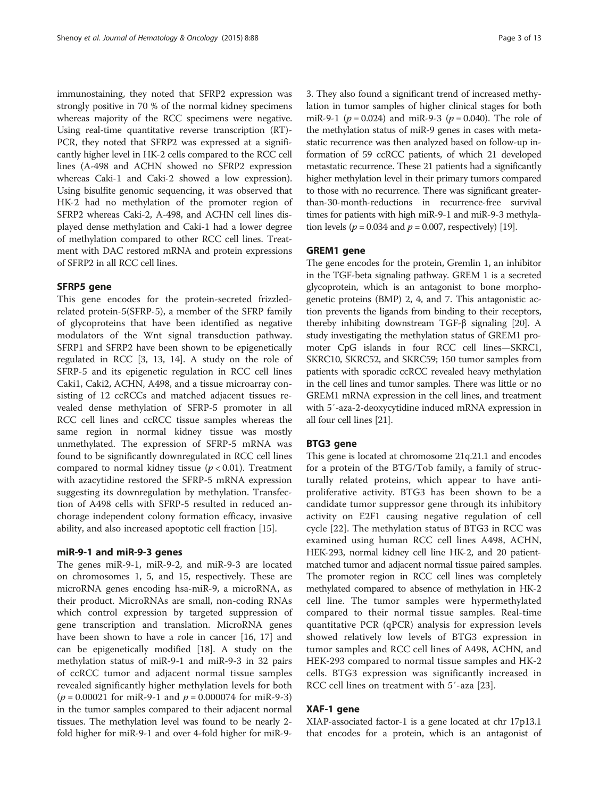immunostaining, they noted that SFRP2 expression was strongly positive in 70 % of the normal kidney specimens whereas majority of the RCC specimens were negative. Using real-time quantitative reverse transcription (RT)- PCR, they noted that SFRP2 was expressed at a significantly higher level in HK-2 cells compared to the RCC cell lines (A-498 and ACHN showed no SFRP2 expression whereas Caki-1 and Caki-2 showed a low expression). Using bisulfite genomic sequencing, it was observed that HK-2 had no methylation of the promoter region of SFRP2 whereas Caki-2, A-498, and ACHN cell lines displayed dense methylation and Caki-1 had a lower degree of methylation compared to other RCC cell lines. Treatment with DAC restored mRNA and protein expressions of SFRP2 in all RCC cell lines.

#### SFRP5 gene

This gene encodes for the protein-secreted frizzledrelated protein-5(SFRP-5), a member of the SFRP family of glycoproteins that have been identified as negative modulators of the Wnt signal transduction pathway. SFRP1 and SFRP2 have been shown to be epigenetically regulated in RCC [\[3, 13, 14\]](#page-10-0). A study on the role of SFRP-5 and its epigenetic regulation in RCC cell lines Caki1, Caki2, ACHN, A498, and a tissue microarray consisting of 12 ccRCCs and matched adjacent tissues revealed dense methylation of SFRP-5 promoter in all RCC cell lines and ccRCC tissue samples whereas the same region in normal kidney tissue was mostly unmethylated. The expression of SFRP-5 mRNA was found to be significantly downregulated in RCC cell lines compared to normal kidney tissue  $(p < 0.01)$ . Treatment with azacytidine restored the SFRP-5 mRNA expression suggesting its downregulation by methylation. Transfection of A498 cells with SFRP-5 resulted in reduced anchorage independent colony formation efficacy, invasive ability, and also increased apoptotic cell fraction [\[15](#page-10-0)].

#### miR-9-1 and miR-9-3 genes

The genes miR-9-1, miR-9-2, and miR-9-3 are located on chromosomes 1, 5, and 15, respectively. These are microRNA genes encoding hsa-miR-9, a microRNA, as their product. MicroRNAs are small, non-coding RNAs which control expression by targeted suppression of gene transcription and translation. MicroRNA genes have been shown to have a role in cancer [\[16](#page-10-0), [17](#page-10-0)] and can be epigenetically modified [[18\]](#page-10-0). A study on the methylation status of miR-9-1 and miR-9-3 in 32 pairs of ccRCC tumor and adjacent normal tissue samples revealed significantly higher methylation levels for both  $(p = 0.00021$  for miR-9-1 and  $p = 0.000074$  for miR-9-3) in the tumor samples compared to their adjacent normal tissues. The methylation level was found to be nearly 2 fold higher for miR-9-1 and over 4-fold higher for miR-93. They also found a significant trend of increased methylation in tumor samples of higher clinical stages for both miR-9-1 ( $p = 0.024$ ) and miR-9-3 ( $p = 0.040$ ). The role of the methylation status of miR-9 genes in cases with metastatic recurrence was then analyzed based on follow-up information of 59 ccRCC patients, of which 21 developed metastatic recurrence. These 21 patients had a significantly higher methylation level in their primary tumors compared to those with no recurrence. There was significant greaterthan-30-month-reductions in recurrence-free survival times for patients with high miR-9-1 and miR-9-3 methylation levels ( $p = 0.034$  and  $p = 0.007$ , respectively) [\[19](#page-11-0)].

#### GREM1 gene

The gene encodes for the protein, Gremlin 1, an inhibitor in the TGF-beta signaling pathway. GREM 1 is a secreted glycoprotein, which is an antagonist to bone morphogenetic proteins (BMP) 2, 4, and 7. This antagonistic action prevents the ligands from binding to their receptors, thereby inhibiting downstream TGF-β signaling [\[20\]](#page-11-0). A study investigating the methylation status of GREM1 promoter CpG islands in four RCC cell lines—SKRC1, SKRC10, SKRC52, and SKRC59; 150 tumor samples from patients with sporadic ccRCC revealed heavy methylation in the cell lines and tumor samples. There was little or no GREM1 mRNA expression in the cell lines, and treatment with 5′-aza-2-deoxycytidine induced mRNA expression in all four cell lines [[21\]](#page-11-0).

#### BTG3 gene

This gene is located at chromosome 21q.21.1 and encodes for a protein of the BTG/Tob family, a family of structurally related proteins, which appear to have antiproliferative activity. BTG3 has been shown to be a candidate tumor suppressor gene through its inhibitory activity on E2F1 causing negative regulation of cell cycle [[22\]](#page-11-0). The methylation status of BTG3 in RCC was examined using human RCC cell lines A498, ACHN, HEK-293, normal kidney cell line HK-2, and 20 patientmatched tumor and adjacent normal tissue paired samples. The promoter region in RCC cell lines was completely methylated compared to absence of methylation in HK-2 cell line. The tumor samples were hypermethylated compared to their normal tissue samples. Real-time quantitative PCR (qPCR) analysis for expression levels showed relatively low levels of BTG3 expression in tumor samples and RCC cell lines of A498, ACHN, and HEK-293 compared to normal tissue samples and HK-2 cells. BTG3 expression was significantly increased in RCC cell lines on treatment with 5′-aza [[23\]](#page-11-0).

#### XAF-1 gene

XIAP-associated factor-1 is a gene located at chr 17p13.1 that encodes for a protein, which is an antagonist of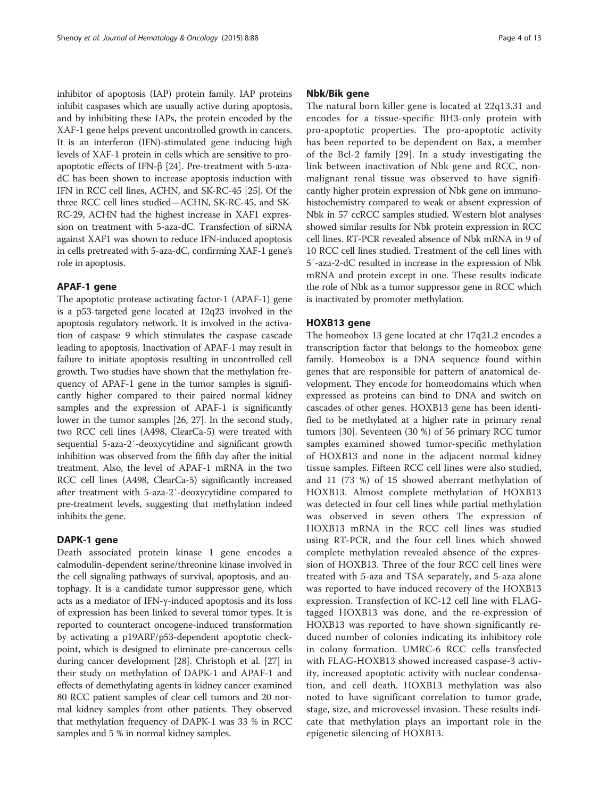inhibitor of apoptosis (IAP) protein family. IAP proteins inhibit caspases which are usually active during apoptosis, and by inhibiting these IAPs, the protein encoded by the XAF-1 gene helps prevent uncontrolled growth in cancers. It is an interferon (IFN)-stimulated gene inducing high levels of XAF-1 protein in cells which are sensitive to proapoptotic effects of IFN-β [[24](#page-11-0)]. Pre-treatment with 5-azadC has been shown to increase apoptosis induction with IFN in RCC cell lines, ACHN, and SK-RC-45 [\[25](#page-11-0)]. Of the three RCC cell lines studied—ACHN, SK-RC-45, and SK-RC-29, ACHN had the highest increase in XAF1 expression on treatment with 5-aza-dC. Transfection of siRNA against XAF1 was shown to reduce IFN-induced apoptosis in cells pretreated with 5-aza-dC, confirming XAF-1 gene's role in apoptosis.

#### APAF-1 gene

The apoptotic protease activating factor-1 (APAF-1) gene is a p53-targeted gene located at 12q23 involved in the apoptosis regulatory network. It is involved in the activation of caspase 9 which stimulates the caspase cascade leading to apoptosis. Inactivation of APAF-1 may result in failure to initiate apoptosis resulting in uncontrolled cell growth. Two studies have shown that the methylation frequency of APAF-1 gene in the tumor samples is significantly higher compared to their paired normal kidney samples and the expression of APAF-1 is significantly lower in the tumor samples [\[26, 27\]](#page-11-0). In the second study, two RCC cell lines (A498, ClearCa-5) were treated with sequential 5-aza-2′-deoxycytidine and significant growth inhibition was observed from the fifth day after the initial treatment. Also, the level of APAF-1 mRNA in the two RCC cell lines (A498, ClearCa-5) significantly increased after treatment with 5-aza-2′-deoxycytidine compared to pre-treatment levels, suggesting that methylation indeed inhibits the gene.

#### DAPK-1 gene

Death associated protein kinase 1 gene encodes a calmodulin-dependent serine/threonine kinase involved in the cell signaling pathways of survival, apoptosis, and autophagy. It is a candidate tumor suppressor gene, which acts as a mediator of IFN-γ-induced apoptosis and its loss of expression has been linked to several tumor types. It is reported to counteract oncogene-induced transformation by activating a p19ARF/p53-dependent apoptotic checkpoint, which is designed to eliminate pre-cancerous cells during cancer development [[28](#page-11-0)]. Christoph et al. [[27\]](#page-11-0) in their study on methylation of DAPK-1 and APAF-1 and effects of demethylating agents in kidney cancer examined 80 RCC patient samples of clear cell tumors and 20 normal kidney samples from other patients. They observed that methylation frequency of DAPK-1 was 33 % in RCC samples and 5 % in normal kidney samples.

#### Nbk/Bik gene

The natural born killer gene is located at 22q13.31 and encodes for a tissue-specific BH3-only protein with pro-apoptotic properties. The pro-apoptotic activity has been reported to be dependent on Bax, a member of the Bcl-2 family [[29\]](#page-11-0). In a study investigating the link between inactivation of Nbk gene and RCC, nonmalignant renal tissue was observed to have significantly higher protein expression of Nbk gene on immunohistochemistry compared to weak or absent expression of Nbk in 57 ccRCC samples studied. Western blot analyses showed similar results for Nbk protein expression in RCC cell lines. RT-PCR revealed absence of Nbk mRNA in 9 of 10 RCC cell lines studied. Treatment of the cell lines with 5′-aza-2-dC resulted in increase in the expression of Nbk mRNA and protein except in one. These results indicate the role of Nbk as a tumor suppressor gene in RCC which is inactivated by promoter methylation.

#### HOXB13 gene

The homeobox 13 gene located at chr 17q21.2 encodes a transcription factor that belongs to the homeobox gene family. Homeobox is a DNA sequence found within genes that are responsible for pattern of anatomical development. They encode for homeodomains which when expressed as proteins can bind to DNA and switch on cascades of other genes. HOXB13 gene has been identified to be methylated at a higher rate in primary renal tumors [\[30](#page-11-0)]. Seventeen (30 %) of 56 primary RCC tumor samples examined showed tumor-specific methylation of HOXB13 and none in the adjacent normal kidney tissue samples. Fifteen RCC cell lines were also studied, and 11 (73 %) of 15 showed aberrant methylation of HOXB13. Almost complete methylation of HOXB13 was detected in four cell lines while partial methylation was observed in seven others The expression of HOXB13 mRNA in the RCC cell lines was studied using RT-PCR, and the four cell lines which showed complete methylation revealed absence of the expression of HOXB13. Three of the four RCC cell lines were treated with 5-aza and TSA separately, and 5-aza alone was reported to have induced recovery of the HOXB13 expression. Transfection of KC-12 cell line with FLAGtagged HOXB13 was done, and the re-expression of HOXB13 was reported to have shown significantly reduced number of colonies indicating its inhibitory role in colony formation. UMRC-6 RCC cells transfected with FLAG-HOXB13 showed increased caspase-3 activity, increased apoptotic activity with nuclear condensation, and cell death. HOXB13 methylation was also noted to have significant correlation to tumor grade, stage, size, and microvessel invasion. These results indicate that methylation plays an important role in the epigenetic silencing of HOXB13.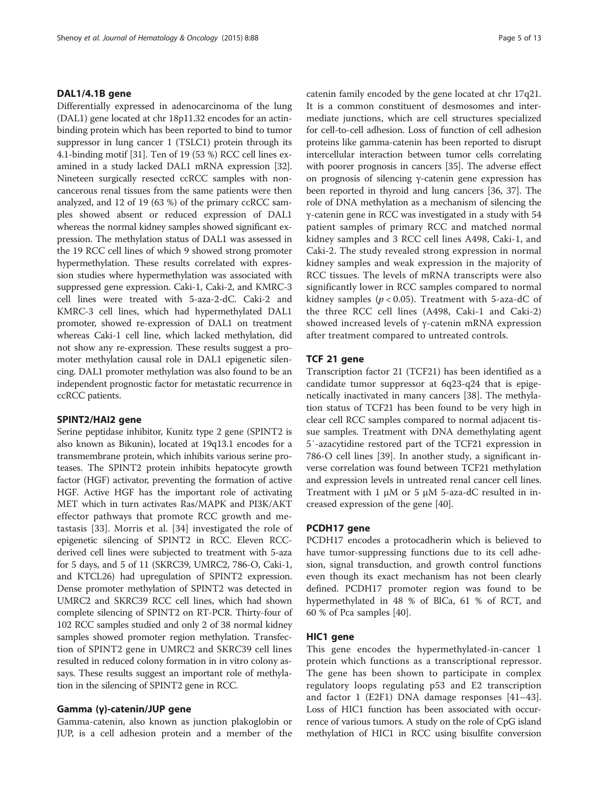#### DAL1/4.1B gene

Differentially expressed in adenocarcinoma of the lung (DAL1) gene located at chr 18p11.32 encodes for an actinbinding protein which has been reported to bind to tumor suppressor in lung cancer 1 (TSLC1) protein through its 4.1-binding motif [\[31\]](#page-11-0). Ten of 19 (53 %) RCC cell lines examined in a study lacked DAL1 mRNA expression [[32](#page-11-0)]. Nineteen surgically resected ccRCC samples with noncancerous renal tissues from the same patients were then analyzed, and 12 of 19 (63 %) of the primary ccRCC samples showed absent or reduced expression of DAL1 whereas the normal kidney samples showed significant expression. The methylation status of DAL1 was assessed in the 19 RCC cell lines of which 9 showed strong promoter hypermethylation. These results correlated with expression studies where hypermethylation was associated with suppressed gene expression. Caki-1, Caki-2, and KMRC-3 cell lines were treated with 5-aza-2-dC. Caki-2 and KMRC-3 cell lines, which had hypermethylated DAL1 promoter, showed re-expression of DAL1 on treatment whereas Caki-1 cell line, which lacked methylation, did not show any re-expression. These results suggest a promoter methylation causal role in DAL1 epigenetic silencing. DAL1 promoter methylation was also found to be an independent prognostic factor for metastatic recurrence in ccRCC patients.

#### SPINT2/HAI2 gene

Serine peptidase inhibitor, Kunitz type 2 gene (SPINT2 is also known as Bikunin), located at 19q13.1 encodes for a transmembrane protein, which inhibits various serine proteases. The SPINT2 protein inhibits hepatocyte growth factor (HGF) activator, preventing the formation of active HGF. Active HGF has the important role of activating MET which in turn activates Ras/MAPK and PI3K/AKT effector pathways that promote RCC growth and metastasis [[33](#page-11-0)]. Morris et al. [\[34](#page-11-0)] investigated the role of epigenetic silencing of SPINT2 in RCC. Eleven RCCderived cell lines were subjected to treatment with 5-aza for 5 days, and 5 of 11 (SKRC39, UMRC2, 786-O, Caki-1, and KTCL26) had upregulation of SPINT2 expression. Dense promoter methylation of SPINT2 was detected in UMRC2 and SKRC39 RCC cell lines, which had shown complete silencing of SPINT2 on RT-PCR. Thirty-four of 102 RCC samples studied and only 2 of 38 normal kidney samples showed promoter region methylation. Transfection of SPINT2 gene in UMRC2 and SKRC39 cell lines resulted in reduced colony formation in in vitro colony assays. These results suggest an important role of methylation in the silencing of SPINT2 gene in RCC.

#### Gamma (γ)-catenin/JUP gene

Gamma-catenin, also known as junction plakoglobin or JUP, is a cell adhesion protein and a member of the catenin family encoded by the gene located at chr 17q21. It is a common constituent of desmosomes and intermediate junctions, which are cell structures specialized for cell-to-cell adhesion. Loss of function of cell adhesion proteins like gamma-catenin has been reported to disrupt intercellular interaction between tumor cells correlating with poorer prognosis in cancers [[35](#page-11-0)]. The adverse effect on prognosis of silencing γ-catenin gene expression has been reported in thyroid and lung cancers [\[36, 37](#page-11-0)]. The role of DNA methylation as a mechanism of silencing the γ-catenin gene in RCC was investigated in a study with 54 patient samples of primary RCC and matched normal kidney samples and 3 RCC cell lines A498, Caki-1, and Caki-2. The study revealed strong expression in normal kidney samples and weak expression in the majority of RCC tissues. The levels of mRNA transcripts were also significantly lower in RCC samples compared to normal kidney samples ( $p < 0.05$ ). Treatment with 5-aza-dC of the three RCC cell lines (A498, Caki-1 and Caki-2) showed increased levels of γ-catenin mRNA expression after treatment compared to untreated controls.

#### TCF 21 gene

Transcription factor 21 (TCF21) has been identified as a candidate tumor suppressor at 6q23-q24 that is epigenetically inactivated in many cancers [\[38](#page-11-0)]. The methylation status of TCF21 has been found to be very high in clear cell RCC samples compared to normal adjacent tissue samples. Treatment with DNA demethylating agent 5′-azacytidine restored part of the TCF21 expression in 786-O cell lines [\[39\]](#page-11-0). In another study, a significant inverse correlation was found between TCF21 methylation and expression levels in untreated renal cancer cell lines. Treatment with 1 μM or 5 μM 5-aza-dC resulted in increased expression of the gene [[40\]](#page-11-0).

#### PCDH17 gene

PCDH17 encodes a protocadherin which is believed to have tumor-suppressing functions due to its cell adhesion, signal transduction, and growth control functions even though its exact mechanism has not been clearly defined. PCDH17 promoter region was found to be hypermethylated in 48 % of BlCa, 61 % of RCT, and 60 % of Pca samples [[40\]](#page-11-0).

#### HIC1 gene

This gene encodes the hypermethylated-in-cancer 1 protein which functions as a transcriptional repressor. The gene has been shown to participate in complex regulatory loops regulating p53 and E2 transcription and factor 1 (E2F1) DNA damage responses [\[41](#page-11-0)–[43](#page-11-0)]. Loss of HIC1 function has been associated with occurrence of various tumors. A study on the role of CpG island methylation of HIC1 in RCC using bisulfite conversion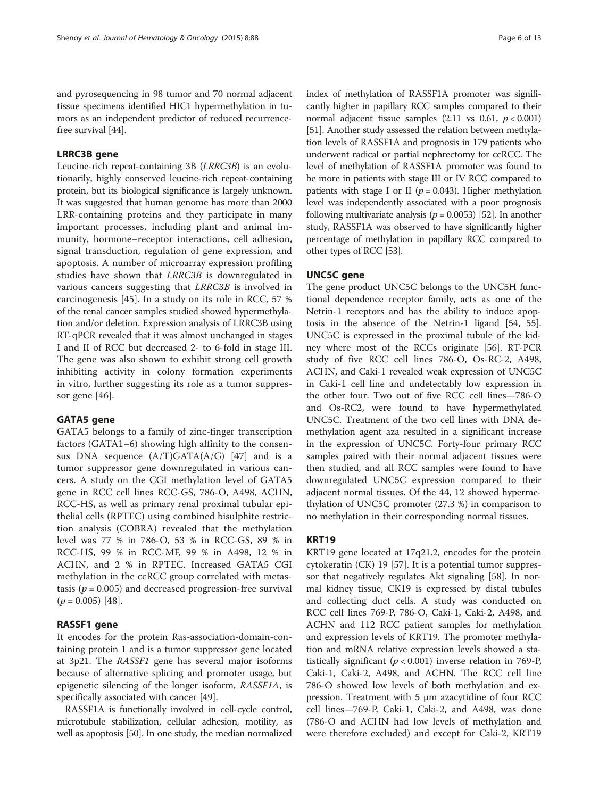and pyrosequencing in 98 tumor and 70 normal adjacent tissue specimens identified HIC1 hypermethylation in tumors as an independent predictor of reduced recurrencefree survival [[44](#page-11-0)].

## LRRC3B gene

Leucine-rich repeat-containing 3B (LRRC3B) is an evolutionarily, highly conserved leucine-rich repeat-containing protein, but its biological significance is largely unknown. It was suggested that human genome has more than 2000 LRR-containing proteins and they participate in many important processes, including plant and animal immunity, hormone–receptor interactions, cell adhesion, signal transduction, regulation of gene expression, and apoptosis. A number of microarray expression profiling studies have shown that LRRC3B is downregulated in various cancers suggesting that LRRC3B is involved in carcinogenesis [[45\]](#page-11-0). In a study on its role in RCC, 57 % of the renal cancer samples studied showed hypermethylation and/or deletion. Expression analysis of LRRC3B using RT-qPCR revealed that it was almost unchanged in stages I and II of RCC but decreased 2- to 6-fold in stage III. The gene was also shown to exhibit strong cell growth inhibiting activity in colony formation experiments in vitro, further suggesting its role as a tumor suppressor gene [[46](#page-11-0)].

#### GATA5 gene

GATA5 belongs to a family of zinc-finger transcription factors (GATA1–6) showing high affinity to the consensus DNA sequence  $(A/T)GATA(A/G)$  [[47\]](#page-11-0) and is a tumor suppressor gene downregulated in various cancers. A study on the CGI methylation level of GATA5 gene in RCC cell lines RCC-GS, 786-O, A498, ACHN, RCC-HS, as well as primary renal proximal tubular epithelial cells (RPTEC) using combined bisulphite restriction analysis (COBRA) revealed that the methylation level was 77 % in 786-O, 53 % in RCC-GS, 89 % in RCC-HS, 99 % in RCC-MF, 99 % in A498, 12 % in ACHN, and 2 % in RPTEC. Increased GATA5 CGI methylation in the ccRCC group correlated with metastasis ( $p = 0.005$ ) and decreased progression-free survival  $(p = 0.005)$  [[48\]](#page-11-0).

#### RASSF1 gene

It encodes for the protein Ras-association-domain-containing protein 1 and is a tumor suppressor gene located at 3p21. The RASSF1 gene has several major isoforms because of alternative splicing and promoter usage, but epigenetic silencing of the longer isoform, RASSF1A, is specifically associated with cancer [[49\]](#page-11-0).

RASSF1A is functionally involved in cell-cycle control, microtubule stabilization, cellular adhesion, motility, as well as apoptosis [\[50\]](#page-11-0). In one study, the median normalized index of methylation of RASSF1A promoter was significantly higher in papillary RCC samples compared to their normal adjacent tissue samples (2.11 vs 0.61,  $p < 0.001$ ) [[51](#page-11-0)]. Another study assessed the relation between methylation levels of RASSF1A and prognosis in 179 patients who underwent radical or partial nephrectomy for ccRCC. The level of methylation of RASSF1A promoter was found to be more in patients with stage III or IV RCC compared to patients with stage I or II ( $p = 0.043$ ). Higher methylation level was independently associated with a poor prognosis following multivariate analysis ( $p = 0.0053$ ) [\[52\]](#page-11-0). In another study, RASSF1A was observed to have significantly higher percentage of methylation in papillary RCC compared to other types of RCC [\[53\]](#page-11-0).

#### UNC5C gene

The gene product UNC5C belongs to the UNC5H functional dependence receptor family, acts as one of the Netrin-1 receptors and has the ability to induce apoptosis in the absence of the Netrin-1 ligand [[54, 55](#page-11-0)]. UNC5C is expressed in the proximal tubule of the kidney where most of the RCCs originate [\[56](#page-11-0)]. RT-PCR study of five RCC cell lines 786-O, Os-RC-2, A498, ACHN, and Caki-1 revealed weak expression of UNC5C in Caki-1 cell line and undetectably low expression in the other four. Two out of five RCC cell lines—786-O and Os-RC2, were found to have hypermethylated UNC5C. Treatment of the two cell lines with DNA demethylation agent aza resulted in a significant increase in the expression of UNC5C. Forty-four primary RCC samples paired with their normal adjacent tissues were then studied, and all RCC samples were found to have downregulated UNC5C expression compared to their adjacent normal tissues. Of the 44, 12 showed hypermethylation of UNC5C promoter (27.3 %) in comparison to no methylation in their corresponding normal tissues.

#### KRT19

KRT19 gene located at 17q21.2, encodes for the protein cytokeratin (CK) 19 [[57\]](#page-11-0). It is a potential tumor suppressor that negatively regulates Akt signaling [\[58\]](#page-11-0). In normal kidney tissue, CK19 is expressed by distal tubules and collecting duct cells. A study was conducted on RCC cell lines 769-P, 786-O, Caki-1, Caki-2, A498, and ACHN and 112 RCC patient samples for methylation and expression levels of KRT19. The promoter methylation and mRNA relative expression levels showed a statistically significant ( $p < 0.001$ ) inverse relation in 769-P, Caki-1, Caki-2, A498, and ACHN. The RCC cell line 786-O showed low levels of both methylation and expression. Treatment with 5 μm azacytidine of four RCC cell lines—769-P, Caki-1, Caki-2, and A498, was done (786-O and ACHN had low levels of methylation and were therefore excluded) and except for Caki-2, KRT19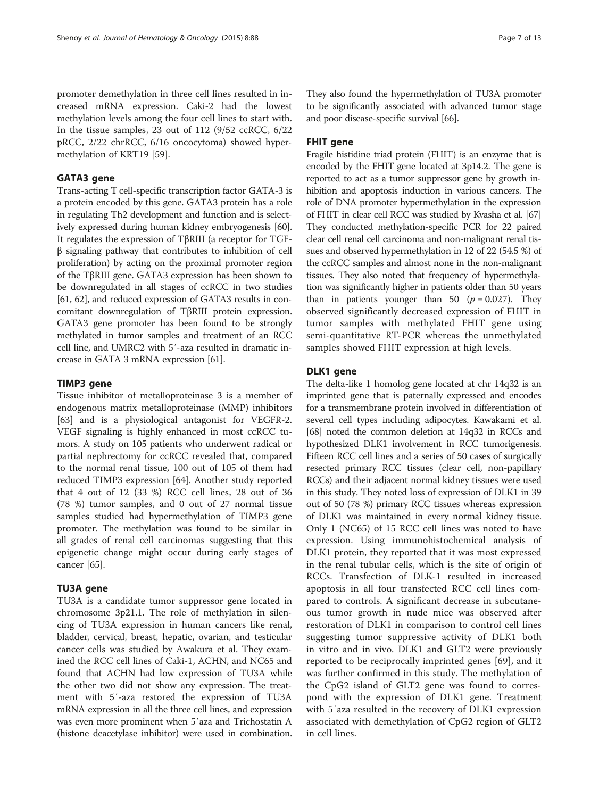promoter demethylation in three cell lines resulted in increased mRNA expression. Caki-2 had the lowest methylation levels among the four cell lines to start with. In the tissue samples, 23 out of 112 (9/52 ccRCC, 6/22 pRCC, 2/22 chrRCC, 6/16 oncocytoma) showed hypermethylation of KRT19 [\[59\]](#page-11-0).

## GATA3 gene

Trans-acting T cell-specific transcription factor GATA-3 is a protein encoded by this gene. GATA3 protein has a role in regulating Th2 development and function and is selectively expressed during human kidney embryogenesis [[60](#page-11-0)]. It regulates the expression of TβRIII (a receptor for TGFβ signaling pathway that contributes to inhibition of cell proliferation) by acting on the proximal promoter region of the TβRIII gene. GATA3 expression has been shown to be downregulated in all stages of ccRCC in two studies [[61](#page-11-0), [62\]](#page-11-0), and reduced expression of GATA3 results in concomitant downregulation of TβRIII protein expression. GATA3 gene promoter has been found to be strongly methylated in tumor samples and treatment of an RCC cell line, and UMRC2 with 5′-aza resulted in dramatic increase in GATA 3 mRNA expression [\[61\]](#page-11-0).

# TIMP3 gene

Tissue inhibitor of metalloproteinase 3 is a member of endogenous matrix metalloproteinase (MMP) inhibitors [[63\]](#page-11-0) and is a physiological antagonist for VEGFR-2. VEGF signaling is highly enhanced in most ccRCC tumors. A study on 105 patients who underwent radical or partial nephrectomy for ccRCC revealed that, compared to the normal renal tissue, 100 out of 105 of them had reduced TIMP3 expression [[64\]](#page-11-0). Another study reported that 4 out of 12 (33 %) RCC cell lines, 28 out of 36 (78 %) tumor samples, and 0 out of 27 normal tissue samples studied had hypermethylation of TIMP3 gene promoter. The methylation was found to be similar in all grades of renal cell carcinomas suggesting that this epigenetic change might occur during early stages of cancer [[65](#page-11-0)].

# TU3A gene

TU3A is a candidate tumor suppressor gene located in chromosome 3p21.1. The role of methylation in silencing of TU3A expression in human cancers like renal, bladder, cervical, breast, hepatic, ovarian, and testicular cancer cells was studied by Awakura et al. They examined the RCC cell lines of Caki-1, ACHN, and NC65 and found that ACHN had low expression of TU3A while the other two did not show any expression. The treatment with 5′-aza restored the expression of TU3A mRNA expression in all the three cell lines, and expression was even more prominent when 5′aza and Trichostatin A (histone deacetylase inhibitor) were used in combination.

They also found the hypermethylation of TU3A promoter to be significantly associated with advanced tumor stage and poor disease-specific survival [\[66](#page-11-0)].

# FHIT gene

Fragile histidine triad protein (FHIT) is an enzyme that is encoded by the FHIT gene located at 3p14.2. The gene is reported to act as a tumor suppressor gene by growth inhibition and apoptosis induction in various cancers. The role of DNA promoter hypermethylation in the expression of FHIT in clear cell RCC was studied by Kvasha et al. [[67](#page-11-0)] They conducted methylation-specific PCR for 22 paired clear cell renal cell carcinoma and non-malignant renal tissues and observed hypermethylation in 12 of 22 (54.5 %) of the ccRCC samples and almost none in the non-malignant tissues. They also noted that frequency of hypermethylation was significantly higher in patients older than 50 years than in patients younger than 50 ( $p = 0.027$ ). They observed significantly decreased expression of FHIT in tumor samples with methylated FHIT gene using semi-quantitative RT-PCR whereas the unmethylated samples showed FHIT expression at high levels.

# DLK1 gene

The delta-like 1 homolog gene located at chr 14q32 is an imprinted gene that is paternally expressed and encodes for a transmembrane protein involved in differentiation of several cell types including adipocytes. Kawakami et al. [[68](#page-11-0)] noted the common deletion at 14q32 in RCCs and hypothesized DLK1 involvement in RCC tumorigenesis. Fifteen RCC cell lines and a series of 50 cases of surgically resected primary RCC tissues (clear cell, non-papillary RCCs) and their adjacent normal kidney tissues were used in this study. They noted loss of expression of DLK1 in 39 out of 50 (78 %) primary RCC tissues whereas expression of DLK1 was maintained in every normal kidney tissue. Only 1 (NC65) of 15 RCC cell lines was noted to have expression. Using immunohistochemical analysis of DLK1 protein, they reported that it was most expressed in the renal tubular cells, which is the site of origin of RCCs. Transfection of DLK-1 resulted in increased apoptosis in all four transfected RCC cell lines compared to controls. A significant decrease in subcutaneous tumor growth in nude mice was observed after restoration of DLK1 in comparison to control cell lines suggesting tumor suppressive activity of DLK1 both in vitro and in vivo. DLK1 and GLT2 were previously reported to be reciprocally imprinted genes [\[69](#page-11-0)], and it was further confirmed in this study. The methylation of the CpG2 island of GLT2 gene was found to correspond with the expression of DLK1 gene. Treatment with 5′aza resulted in the recovery of DLK1 expression associated with demethylation of CpG2 region of GLT2 in cell lines.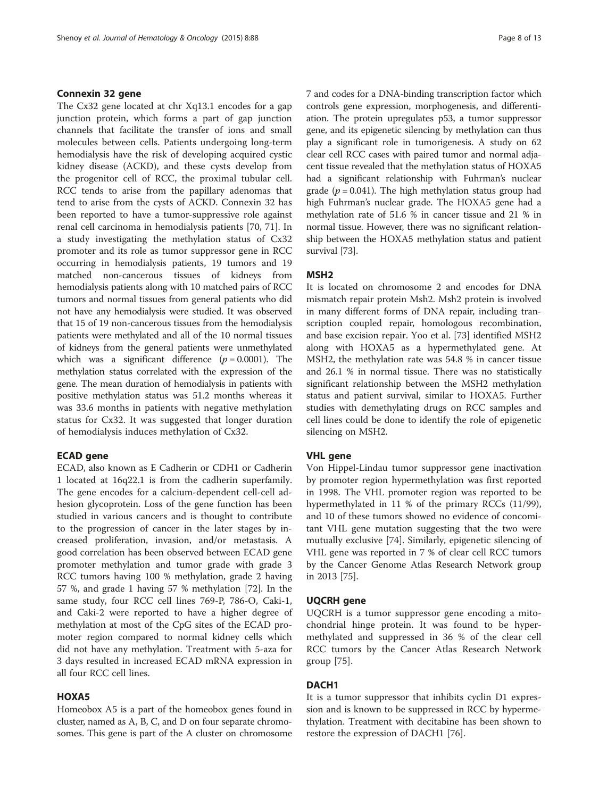#### Connexin 32 gene

The Cx32 gene located at chr Xq13.1 encodes for a gap junction protein, which forms a part of gap junction channels that facilitate the transfer of ions and small molecules between cells. Patients undergoing long-term hemodialysis have the risk of developing acquired cystic kidney disease (ACKD), and these cysts develop from the progenitor cell of RCC, the proximal tubular cell. RCC tends to arise from the papillary adenomas that tend to arise from the cysts of ACKD. Connexin 32 has been reported to have a tumor-suppressive role against renal cell carcinoma in hemodialysis patients [\[70](#page-11-0), [71](#page-11-0)]. In a study investigating the methylation status of Cx32 promoter and its role as tumor suppressor gene in RCC occurring in hemodialysis patients, 19 tumors and 19 matched non-cancerous tissues of kidneys from hemodialysis patients along with 10 matched pairs of RCC tumors and normal tissues from general patients who did not have any hemodialysis were studied. It was observed that 15 of 19 non-cancerous tissues from the hemodialysis patients were methylated and all of the 10 normal tissues of kidneys from the general patients were unmethylated which was a significant difference  $(p = 0.0001)$ . The methylation status correlated with the expression of the gene. The mean duration of hemodialysis in patients with positive methylation status was 51.2 months whereas it was 33.6 months in patients with negative methylation status for Cx32. It was suggested that longer duration of hemodialysis induces methylation of Cx32.

## ECAD gene

ECAD, also known as E Cadherin or CDH1 or Cadherin 1 located at 16q22.1 is from the cadherin superfamily. The gene encodes for a calcium-dependent cell-cell adhesion glycoprotein. Loss of the gene function has been studied in various cancers and is thought to contribute to the progression of cancer in the later stages by increased proliferation, invasion, and/or metastasis. A good correlation has been observed between ECAD gene promoter methylation and tumor grade with grade 3 RCC tumors having 100 % methylation, grade 2 having 57 %, and grade 1 having 57 % methylation [\[72](#page-11-0)]. In the same study, four RCC cell lines 769-P, 786-O, Caki-1, and Caki-2 were reported to have a higher degree of methylation at most of the CpG sites of the ECAD promoter region compared to normal kidney cells which did not have any methylation. Treatment with 5-aza for 3 days resulted in increased ECAD mRNA expression in all four RCC cell lines.

## HOXA5

Homeobox A5 is a part of the homeobox genes found in cluster, named as A, B, C, and D on four separate chromosomes. This gene is part of the A cluster on chromosome 7 and codes for a DNA-binding transcription factor which controls gene expression, morphogenesis, and differentiation. The protein upregulates p53, a tumor suppressor gene, and its epigenetic silencing by methylation can thus play a significant role in tumorigenesis. A study on 62 clear cell RCC cases with paired tumor and normal adjacent tissue revealed that the methylation status of HOXA5 had a significant relationship with Fuhrman's nuclear grade ( $p = 0.041$ ). The high methylation status group had high Fuhrman's nuclear grade. The HOXA5 gene had a methylation rate of 51.6 % in cancer tissue and 21 % in normal tissue. However, there was no significant relationship between the HOXA5 methylation status and patient survival [\[73\]](#page-11-0).

#### MSH2

It is located on chromosome 2 and encodes for DNA mismatch repair protein Msh2. Msh2 protein is involved in many different forms of DNA repair, including transcription coupled repair, homologous recombination, and base excision repair. Yoo et al. [\[73](#page-11-0)] identified MSH2 along with HOXA5 as a hypermethylated gene. At MSH2, the methylation rate was 54.8 % in cancer tissue and 26.1 % in normal tissue. There was no statistically significant relationship between the MSH2 methylation status and patient survival, similar to HOXA5. Further studies with demethylating drugs on RCC samples and cell lines could be done to identify the role of epigenetic silencing on MSH2.

## VHL gene

Von Hippel-Lindau tumor suppressor gene inactivation by promoter region hypermethylation was first reported in 1998. The VHL promoter region was reported to be hypermethylated in 11 % of the primary RCCs (11/99), and 10 of these tumors showed no evidence of concomitant VHL gene mutation suggesting that the two were mutually exclusive [\[74\]](#page-12-0). Similarly, epigenetic silencing of VHL gene was reported in 7 % of clear cell RCC tumors by the Cancer Genome Atlas Research Network group in 2013 [\[75](#page-12-0)].

#### UQCRH gene

UQCRH is a tumor suppressor gene encoding a mitochondrial hinge protein. It was found to be hypermethylated and suppressed in 36 % of the clear cell RCC tumors by the Cancer Atlas Research Network group [\[75](#page-12-0)].

## DACH1

It is a tumor suppressor that inhibits cyclin D1 expression and is known to be suppressed in RCC by hypermethylation. Treatment with decitabine has been shown to restore the expression of DACH1 [[76\]](#page-12-0).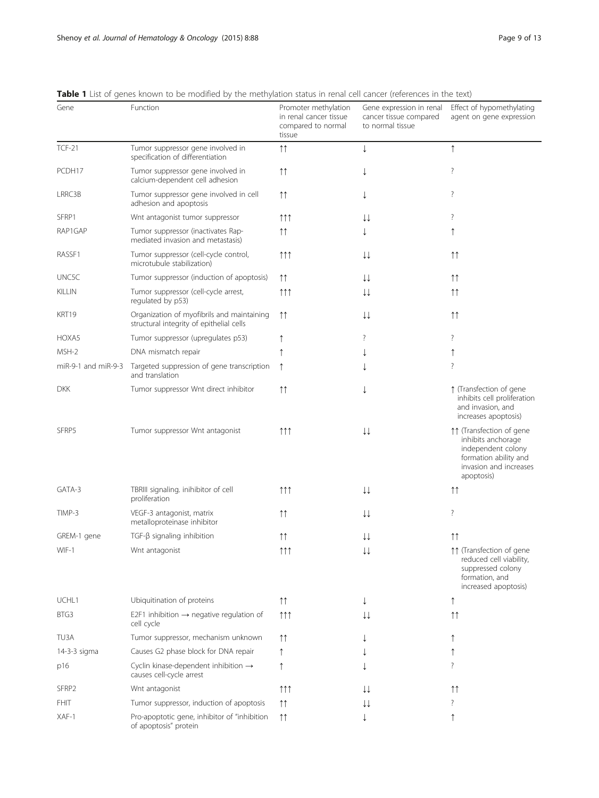| Gene                    | Function                                                                               | Promoter methylation<br>in renal cancer tissue<br>compared to normal<br>tissue | Gene expression in renal<br>cancer tissue compared<br>to normal tissue | Effect of hypomethylating<br>agent on gene expression                                                                                 |
|-------------------------|----------------------------------------------------------------------------------------|--------------------------------------------------------------------------------|------------------------------------------------------------------------|---------------------------------------------------------------------------------------------------------------------------------------|
| <b>TCF-21</b>           | Tumor suppressor gene involved in<br>specification of differentiation                  | $\uparrow\uparrow$                                                             | ↓                                                                      | $\uparrow$                                                                                                                            |
| PCDH17                  | Tumor suppressor gene involved in<br>calcium-dependent cell adhesion                   | $\uparrow \uparrow$                                                            |                                                                        | ?                                                                                                                                     |
| LRRC3B                  | Tumor suppressor gene involved in cell<br>adhesion and apoptosis                       | $\uparrow \uparrow$                                                            | ↓                                                                      | ?                                                                                                                                     |
| SFRP1                   | Wnt antagonist tumor suppressor                                                        | $\uparrow \uparrow \uparrow$                                                   | ↓↓                                                                     | ?                                                                                                                                     |
| RAP1GAP                 | Tumor suppressor (inactivates Rap-<br>mediated invasion and metastasis)                | ↑↑                                                                             |                                                                        |                                                                                                                                       |
| RASSF1                  | Tumor suppressor (cell-cycle control,<br>microtubule stabilization)                    | $\uparrow \uparrow \uparrow$                                                   | ↓↓                                                                     | $\uparrow\uparrow$                                                                                                                    |
| UNC5C                   | Tumor suppressor (induction of apoptosis)                                              | $\uparrow \uparrow$                                                            | ↓↓                                                                     | $\uparrow \uparrow$                                                                                                                   |
| <b>KILLIN</b>           | Tumor suppressor (cell-cycle arrest,<br>regulated by p53)                              | 111                                                                            | ↓↓                                                                     | $\uparrow \uparrow$                                                                                                                   |
| KRT19                   | Organization of myofibrils and maintaining<br>structural integrity of epithelial cells | ↑↑                                                                             | ↓↓                                                                     | $\uparrow\uparrow$                                                                                                                    |
| HOXA5                   | Tumor suppressor (upregulates p53)                                                     |                                                                                | ?                                                                      | ?                                                                                                                                     |
| MSH-2                   | DNA mismatch repair                                                                    |                                                                                |                                                                        |                                                                                                                                       |
| $miR-9-1$ and $miR-9-3$ | Targeted suppression of gene transcription<br>and translation                          |                                                                                |                                                                        | ?                                                                                                                                     |
| <b>DKK</b>              | Tumor suppressor Wnt direct inhibitor                                                  | $\uparrow \uparrow$                                                            | ↓                                                                      | ↑ (Transfection of gene<br>inhibits cell proliferation<br>and invasion, and<br>increases apoptosis)                                   |
| SFRP5                   | Tumor suppressor Wnt antagonist                                                        | 111                                                                            | ↓↓                                                                     | ↑↑ (Transfection of gene<br>inhibits anchorage<br>independent colony<br>formation ability and<br>invasion and increases<br>apoptosis) |
| GATA-3                  | TBRIII signaling. inihibitor of cell<br>proliferation                                  | $\uparrow \uparrow \uparrow$                                                   | ↓↓                                                                     | $\uparrow \uparrow$                                                                                                                   |
| TIMP-3                  | VEGF-3 antagonist, matrix<br>metalloproteinase inhibitor                               | $\uparrow \uparrow$                                                            | ↓↓                                                                     | $\overline{?}$                                                                                                                        |
| GREM-1 gene             | $TGF-\beta$ signaling inhibition                                                       | $\uparrow\uparrow$                                                             | ↓↓                                                                     | $\uparrow \uparrow$                                                                                                                   |
| WIF-1                   | Wnt antagonist                                                                         | $\uparrow \uparrow \uparrow$                                                   | $\downarrow\downarrow$                                                 | ↑↑ (Transfection of gene<br>reduced cell viability,<br>suppressed colony<br>formation, and<br>increased apoptosis)                    |
| UCHL1                   | Ubiquitination of proteins                                                             | $\uparrow \uparrow$                                                            | ↓                                                                      | ↑                                                                                                                                     |
| BTG3                    | E2F1 inhibition $\rightarrow$ negative regulation of<br>cell cycle                     | $\uparrow \uparrow \uparrow$                                                   | ↓↓                                                                     | $\uparrow\uparrow$                                                                                                                    |
| TU3A                    | Tumor suppressor, mechanism unknown                                                    | $\uparrow \uparrow$                                                            |                                                                        |                                                                                                                                       |
| 14-3-3 sigma            | Causes G2 phase block for DNA repair                                                   |                                                                                |                                                                        |                                                                                                                                       |
| p16                     | Cyclin kinase-dependent inhibition $\rightarrow$<br>causes cell-cycle arrest           |                                                                                |                                                                        | ?                                                                                                                                     |
| SFRP <sub>2</sub>       | Wnt antagonist                                                                         | $\uparrow \uparrow \uparrow$                                                   | ↓↓                                                                     | $\uparrow\uparrow$                                                                                                                    |
| <b>FHIT</b>             | Tumor suppressor, induction of apoptosis                                               | $\uparrow \uparrow$                                                            | ↓↓                                                                     | ?                                                                                                                                     |
| XAF-1                   | Pro-apoptotic gene, inhibitor of "inhibition<br>of apoptosis" protein                  | $\uparrow \uparrow$                                                            |                                                                        | ↑                                                                                                                                     |

## <span id="page-8-0"></span>Table 1 List of genes known to be modified by the methylation status in renal cell cancer (references in the text)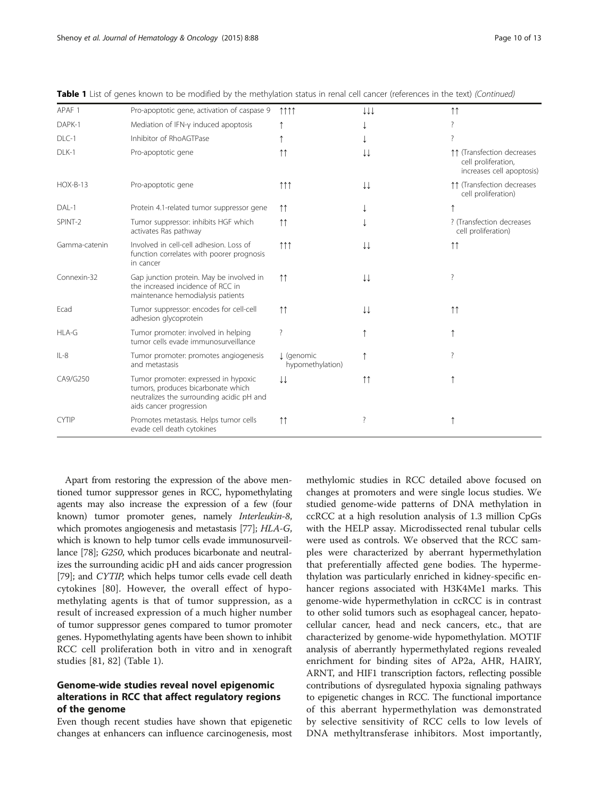| APAF <sub>1</sub> | Pro-apoptotic gene, activation of caspase 9                                                                                                        | 1111                           | ↓↓↓                 | $\uparrow \uparrow$                                                            |
|-------------------|----------------------------------------------------------------------------------------------------------------------------------------------------|--------------------------------|---------------------|--------------------------------------------------------------------------------|
| DAPK-1            | Mediation of IFN-y induced apoptosis                                                                                                               |                                |                     |                                                                                |
| DLC-1             | Inhibitor of RhoAGTPase                                                                                                                            |                                |                     | ?                                                                              |
| DLK-1             | Pro-apoptotic gene                                                                                                                                 | $\uparrow \uparrow$            | ↓↓                  | ↑↑ (Transfection decreases<br>cell proliferation,<br>increases cell apoptosis) |
| $HOX-B-13$        | Pro-apoptotic gene                                                                                                                                 | 111                            | ↓↓                  | 11 (Transfection decreases<br>cell proliferation)                              |
| DAL-1             | Protein 4.1-related tumor suppressor gene                                                                                                          | $\uparrow \uparrow$            |                     |                                                                                |
| SPINT-2           | Tumor suppressor: inhibits HGF which<br>activates Ras pathway                                                                                      | $\uparrow \uparrow$            |                     | ? (Transfection decreases)<br>cell proliferation)                              |
| Gamma-catenin     | Involved in cell-cell adhesion. Loss of<br>function correlates with poorer prognosis<br>in cancer                                                  | $\uparrow \uparrow \uparrow$   | ↓↓                  | $\uparrow \uparrow$                                                            |
| Connexin-32       | Gap junction protein. May be involved in<br>the increased incidence of RCC in<br>maintenance hemodialysis patients                                 | $\uparrow \uparrow$            | ↓↓                  | 7                                                                              |
| Ecad              | Tumor suppressor: encodes for cell-cell<br>adhesion glycoprotein                                                                                   | $\uparrow \uparrow$            | ↓↓                  | $\uparrow \uparrow$                                                            |
| HLA-G             | Tumor promoter: involved in helping<br>tumor cells evade immunosurveillance                                                                        | ?                              |                     |                                                                                |
| $IL-8$            | Tumor promoter: promotes angiogenesis<br>and metastasis                                                                                            | J (genomic<br>hypomethylation) |                     | 7                                                                              |
| CA9/G250          | Tumor promoter: expressed in hypoxic<br>tumors, produces bicarbonate which<br>neutralizes the surrounding acidic pH and<br>aids cancer progression | ↓↓                             | $\uparrow \uparrow$ |                                                                                |
| <b>CYTIP</b>      | Promotes metastasis. Helps tumor cells<br>evade cell death cytokines                                                                               | $\uparrow \uparrow$            | ?                   |                                                                                |

Table 1 List of genes known to be modified by the methylation status in renal cell cancer (references in the text) (Continued)

Apart from restoring the expression of the above mentioned tumor suppressor genes in RCC, hypomethylating agents may also increase the expression of a few (four known) tumor promoter genes, namely Interleukin-8, which promotes angiogenesis and metastasis [\[77\]](#page-12-0); HLA-G, which is known to help tumor cells evade immunosurveillance [\[78\]](#page-12-0); G250, which produces bicarbonate and neutralizes the surrounding acidic pH and aids cancer progression [[79](#page-12-0)]; and CYTIP, which helps tumor cells evade cell death cytokines [[80\]](#page-12-0). However, the overall effect of hypomethylating agents is that of tumor suppression, as a result of increased expression of a much higher number of tumor suppressor genes compared to tumor promoter genes. Hypomethylating agents have been shown to inhibit RCC cell proliferation both in vitro and in xenograft studies [[81, 82](#page-12-0)] (Table [1](#page-8-0)).

## Genome-wide studies reveal novel epigenomic alterations in RCC that affect regulatory regions of the genome

Even though recent studies have shown that epigenetic changes at enhancers can influence carcinogenesis, most methylomic studies in RCC detailed above focused on changes at promoters and were single locus studies. We studied genome-wide patterns of DNA methylation in ccRCC at a high resolution analysis of 1.3 million CpGs with the HELP assay. Microdissected renal tubular cells were used as controls. We observed that the RCC samples were characterized by aberrant hypermethylation that preferentially affected gene bodies. The hypermethylation was particularly enriched in kidney-specific enhancer regions associated with H3K4Me1 marks. This genome-wide hypermethylation in ccRCC is in contrast to other solid tumors such as esophageal cancer, hepatocellular cancer, head and neck cancers, etc., that are characterized by genome-wide hypomethylation. MOTIF analysis of aberrantly hypermethylated regions revealed enrichment for binding sites of AP2a, AHR, HAIRY, ARNT, and HIF1 transcription factors, reflecting possible contributions of dysregulated hypoxia signaling pathways to epigenetic changes in RCC. The functional importance of this aberrant hypermethylation was demonstrated by selective sensitivity of RCC cells to low levels of DNA methyltransferase inhibitors. Most importantly,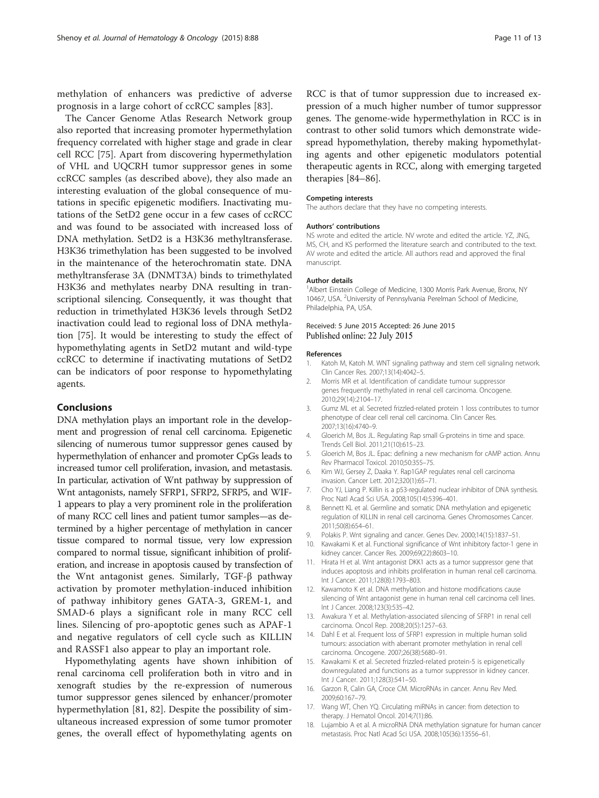<span id="page-10-0"></span>methylation of enhancers was predictive of adverse prognosis in a large cohort of ccRCC samples [[83\]](#page-12-0).

The Cancer Genome Atlas Research Network group also reported that increasing promoter hypermethylation frequency correlated with higher stage and grade in clear cell RCC [\[75\]](#page-12-0). Apart from discovering hypermethylation of VHL and UQCRH tumor suppressor genes in some ccRCC samples (as described above), they also made an interesting evaluation of the global consequence of mutations in specific epigenetic modifiers. Inactivating mutations of the SetD2 gene occur in a few cases of ccRCC and was found to be associated with increased loss of DNA methylation. SetD2 is a H3K36 methyltransferase. H3K36 trimethylation has been suggested to be involved in the maintenance of the heterochromatin state. DNA methyltransferase 3A (DNMT3A) binds to trimethylated H3K36 and methylates nearby DNA resulting in transcriptional silencing. Consequently, it was thought that reduction in trimethylated H3K36 levels through SetD2 inactivation could lead to regional loss of DNA methylation [\[75](#page-12-0)]. It would be interesting to study the effect of hypomethylating agents in SetD2 mutant and wild-type ccRCC to determine if inactivating mutations of SetD2 can be indicators of poor response to hypomethylating agents.

#### Conclusions

DNA methylation plays an important role in the development and progression of renal cell carcinoma. Epigenetic silencing of numerous tumor suppressor genes caused by hypermethylation of enhancer and promoter CpGs leads to increased tumor cell proliferation, invasion, and metastasis. In particular, activation of Wnt pathway by suppression of Wnt antagonists, namely SFRP1, SFRP2, SFRP5, and WIF-1 appears to play a very prominent role in the proliferation of many RCC cell lines and patient tumor samples—as determined by a higher percentage of methylation in cancer tissue compared to normal tissue, very low expression compared to normal tissue, significant inhibition of proliferation, and increase in apoptosis caused by transfection of the Wnt antagonist genes. Similarly, TGF-β pathway activation by promoter methylation-induced inhibition of pathway inhibitory genes GATA-3, GREM-1, and SMAD-6 plays a significant role in many RCC cell lines. Silencing of pro-apoptotic genes such as APAF-1 and negative regulators of cell cycle such as KILLIN and RASSF1 also appear to play an important role.

Hypomethylating agents have shown inhibition of renal carcinoma cell proliferation both in vitro and in xenograft studies by the re-expression of numerous tumor suppressor genes silenced by enhancer/promoter hypermethylation [[81](#page-12-0), [82](#page-12-0)]. Despite the possibility of simultaneous increased expression of some tumor promoter genes, the overall effect of hypomethylating agents on RCC is that of tumor suppression due to increased expression of a much higher number of tumor suppressor genes. The genome-wide hypermethylation in RCC is in contrast to other solid tumors which demonstrate widespread hypomethylation, thereby making hypomethylating agents and other epigenetic modulators potential therapeutic agents in RCC, along with emerging targeted therapies [[84](#page-12-0)–[86](#page-12-0)].

#### Competing interests

The authors declare that they have no competing interests.

#### Authors' contributions

NS wrote and edited the article. NV wrote and edited the article. YZ, JNG, MS, CH, and KS performed the literature search and contributed to the text. AV wrote and edited the article. All authors read and approved the final manuscript.

#### Author details

<sup>1</sup> Albert Einstein College of Medicine, 1300 Morris Park Avenue, Bronx, NY 10467, USA. <sup>2</sup> University of Pennsylvania Perelman School of Medicine, Philadelphia, PA, USA.

#### Received: 5 June 2015 Accepted: 26 June 2015 Published online: 22 July 2015

#### References

- 1. Katoh M, Katoh M. WNT signaling pathway and stem cell signaling network. Clin Cancer Res. 2007;13(14):4042–5.
- 2. Morris MR et al. Identification of candidate tumour suppressor genes frequently methylated in renal cell carcinoma. Oncogene. 2010;29(14):2104–17.
- 3. Gumz ML et al. Secreted frizzled-related protein 1 loss contributes to tumor phenotype of clear cell renal cell carcinoma. Clin Cancer Res. 2007;13(16):4740–9.
- 4. Gloerich M, Bos JL. Regulating Rap small G-proteins in time and space. Trends Cell Biol. 2011;21(10):615–23.
- 5. Gloerich M, Bos JL. Epac: defining a new mechanism for cAMP action. Annu Rev Pharmacol Toxicol. 2010;50:355–75.
- 6. Kim WJ, Gersey Z, Daaka Y. Rap1GAP regulates renal cell carcinoma invasion. Cancer Lett. 2012;320(1):65–71.
- 7. Cho YJ, Liang P. Killin is a p53-regulated nuclear inhibitor of DNA synthesis. Proc Natl Acad Sci USA. 2008;105(14):5396–401.
- 8. Bennett KL et al. Germline and somatic DNA methylation and epigenetic regulation of KILLIN in renal cell carcinoma. Genes Chromosomes Cancer. 2011;50(8):654–61.
- 9. Polakis P. Wnt signaling and cancer. Genes Dev. 2000;14(15):1837–51.
- 10. Kawakami K et al. Functional significance of Wnt inhibitory factor-1 gene in kidney cancer. Cancer Res. 2009;69(22):8603–10.
- 11. Hirata H et al. Wnt antagonist DKK1 acts as a tumor suppressor gene that induces apoptosis and inhibits proliferation in human renal cell carcinoma. Int J Cancer. 2011;128(8):1793–803.
- 12. Kawamoto K et al. DNA methylation and histone modifications cause silencing of Wnt antagonist gene in human renal cell carcinoma cell lines. Int J Cancer. 2008;123(3):535–42.
- 13. Awakura Y et al. Methylation-associated silencing of SFRP1 in renal cell carcinoma. Oncol Rep. 2008;20(5):1257–63.
- 14. Dahl E et al. Frequent loss of SFRP1 expression in multiple human solid tumours: association with aberrant promoter methylation in renal cell carcinoma. Oncogene. 2007;26(38):5680–91.
- 15. Kawakami K et al. Secreted frizzled-related protein-5 is epigenetically downregulated and functions as a tumor suppressor in kidney cancer. Int J Cancer. 2011;128(3):541–50.
- 16. Garzon R, Calin GA, Croce CM. MicroRNAs in cancer. Annu Rev Med. 2009;60:167–79.
- 17. Wang WT, Chen YQ. Circulating miRNAs in cancer: from detection to therapy. J Hematol Oncol. 2014;7(1):86.
- 18. Lujambio A et al. A microRNA DNA methylation signature for human cancer metastasis. Proc Natl Acad Sci USA. 2008;105(36):13556–61.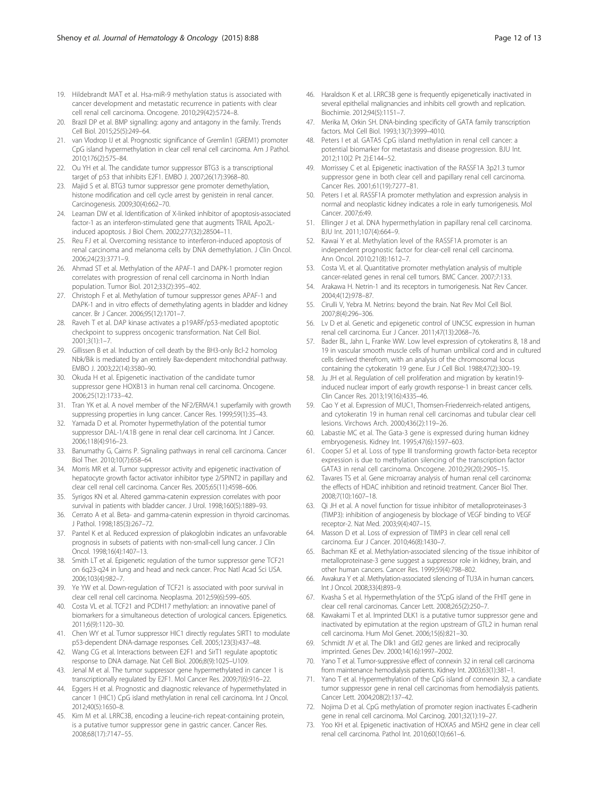- <span id="page-11-0"></span>19. Hildebrandt MAT et al. Hsa-miR-9 methylation status is associated with cancer development and metastatic recurrence in patients with clear cell renal cell carcinoma. Oncogene. 2010;29(42):5724–8.
- 20. Brazil DP et al. BMP signalling: agony and antagony in the family. Trends Cell Biol. 2015;25(5):249–64.
- 21. van Vlodrop IJ et al. Prognostic significance of Gremlin1 (GREM1) promoter CpG island hypermethylation in clear cell renal cell carcinoma. Am J Pathol. 2010;176(2):575–84.
- 22. Ou YH et al. The candidate tumor suppressor BTG3 is a transcriptional target of p53 that inhibits E2F1. EMBO J. 2007;26(17):3968–80.
- 23. Majid S et al. BTG3 tumor suppressor gene promoter demethylation, histone modification and cell cycle arrest by genistein in renal cancer. Carcinogenesis. 2009;30(4):662–70.
- 24. Leaman DW et al. Identification of X-linked inhibitor of apoptosis-associated factor-1 as an interferon-stimulated gene that augments TRAIL Apo2Linduced apoptosis. J Biol Chem. 2002;277(32):28504–11.
- 25. Reu FJ et al. Overcoming resistance to interferon-induced apoptosis of renal carcinoma and melanoma cells by DNA demethylation. J Clin Oncol. 2006;24(23):3771–9.
- 26. Ahmad ST et al. Methylation of the APAF-1 and DAPK-1 promoter region correlates with progression of renal cell carcinoma in North Indian population. Tumor Biol. 2012;33(2):395–402.
- 27. Christoph F et al. Methylation of tumour suppressor genes APAF-1 and DAPK-1 and in vitro effects of demethylating agents in bladder and kidney cancer. Br J Cancer. 2006;95(12):1701–7.
- 28. Raveh T et al. DAP kinase activates a p19ARF/p53-mediated apoptotic checkpoint to suppress oncogenic transformation. Nat Cell Biol. 2001;3(1):1–7.
- 29. Gillissen B et al. Induction of cell death by the BH3-only Bcl-2 homolog Nbk/Bik is mediated by an entirely Bax-dependent mitochondrial pathway. EMBO J. 2003;22(14):3580–90.
- 30. Okuda H et al. Epigenetic inactivation of the candidate tumor suppressor gene HOXB13 in human renal cell carcinoma. Oncogene. 2006;25(12):1733–42.
- 31. Tran YK et al. A novel member of the NF2/ERM/4.1 superfamily with growth suppressing properties in lung cancer. Cancer Res. 1999;59(1):35–43.
- 32. Yamada D et al. Promoter hypermethylation of the potential tumor suppressor DAL-1/4.1B gene in renal clear cell carcinoma. Int J Cancer. 2006;118(4):916–23.
- 33. Banumathy G, Cairns P. Signaling pathways in renal cell carcinoma. Cancer Biol Ther. 2010;10(7):658–64.
- 34. Morris MR et al. Tumor suppressor activity and epigenetic inactivation of hepatocyte growth factor activator inhibitor type 2/SPINT2 in papillary and clear cell renal cell carcinoma. Cancer Res. 2005;65(11):4598–606.
- 35. Syrigos KN et al. Altered gamma-catenin expression correlates with poor survival in patients with bladder cancer. J Urol. 1998;160(5):1889–93.
- 36. Cerrato A et al. Beta- and gamma-catenin expression in thyroid carcinomas. J Pathol. 1998;185(3):267–72.
- 37. Pantel K et al. Reduced expression of plakoglobin indicates an unfavorable prognosis in subsets of patients with non-small-cell lung cancer. J Clin Oncol. 1998;16(4):1407–13.
- 38. Smith LT et al. Epigenetic regulation of the tumor suppressor gene TCF21 on 6q23-q24 in lung and head and neck cancer. Proc Natl Acad Sci USA. 2006;103(4):982–7.
- 39. Ye YW et al. Down-regulation of TCF21 is associated with poor survival in clear cell renal cell carcinoma. Neoplasma. 2012;59(6):599–605.
- 40. Costa VL et al. TCF21 and PCDH17 methylation: an innovative panel of biomarkers for a simultaneous detection of urological cancers. Epigenetics. 2011;6(9):1120–30.
- 41. Chen WY et al. Tumor suppressor HIC1 directly regulates SIRT1 to modulate p53-dependent DNA-damage responses. Cell. 2005;123(3):437–48.
- 42. Wang CG et al. Interactions between E2F1 and SirT1 regulate apoptotic response to DNA damage. Nat Cell Biol. 2006;8(9):1025–U109.
- 43. Jenal M et al. The tumor suppressor gene hypermethylated in cancer 1 is transcriptionally regulated by E2F1. Mol Cancer Res. 2009;7(6):916–22.
- 44. Eggers H et al. Prognostic and diagnostic relevance of hypermethylated in cancer 1 (HIC1) CpG island methylation in renal cell carcinoma. Int J Oncol. 2012;40(5):1650–8.
- 45. Kim M et al. LRRC3B, encoding a leucine-rich repeat-containing protein, is a putative tumor suppressor gene in gastric cancer. Cancer Res. 2008;68(17):7147–55.
- 46. Haraldson K et al. LRRC3B gene is frequently epigenetically inactivated in several epithelial malignancies and inhibits cell growth and replication. Biochimie. 2012;94(5):1151–7.
- 47. Merika M, Orkin SH. DNA-binding specificity of GATA family transcription factors. Mol Cell Biol. 1993;13(7):3999–4010.
- 48. Peters I et al. GATA5 CpG island methylation in renal cell cancer: a potential biomarker for metastasis and disease progression. BJU Int. 2012;110(2 Pt 2):E144–52.
- 49. Morrissey C et al. Epigenetic inactivation of the RASSF1A 3p21.3 tumor suppressor gene in both clear cell and papillary renal cell carcinoma. Cancer Res. 2001;61(19):7277–81.
- 50. Peters I et al. RASSF1A promoter methylation and expression analysis in normal and neoplastic kidney indicates a role in early tumorigenesis. Mol Cancer. 2007;6:49.
- 51. Ellinger J et al. DNA hypermethylation in papillary renal cell carcinoma. BJU Int. 2011;107(4):664–9.
- 52. Kawai Y et al. Methylation level of the RASSF1A promoter is an independent prognostic factor for clear-cell renal cell carcinoma. Ann Oncol. 2010;21(8):1612–7.
- 53. Costa VL et al. Quantitative promoter methylation analysis of multiple cancer-related genes in renal cell tumors. BMC Cancer. 2007;7:133.
- 54. Arakawa H. Netrin-1 and its receptors in tumorigenesis. Nat Rev Cancer. 2004;4(12):978–87.
- 55. Cirulli V, Yebra M. Netrins: beyond the brain. Nat Rev Mol Cell Biol. 2007;8(4):296–306.
- 56. Lv D et al. Genetic and epigenetic control of UNC5C expression in human renal cell carcinoma. Eur J Cancer. 2011;47(13):2068–76.
- 57. Bader BL, Jahn L, Franke WW. Low level expression of cytokeratins 8, 18 and 19 in vascular smooth muscle cells of human umbilical cord and in cultured cells derived therefrom, with an analysis of the chromosomal locus containing the cytokeratin 19 gene. Eur J Cell Biol. 1988;47(2):300–19.
- 58. Ju JH et al. Regulation of cell proliferation and migration by keratin19 induced nuclear import of early growth response-1 in breast cancer cells. Clin Cancer Res. 2013;19(16):4335–46.
- 59. Cao Y et al. Expression of MUC1, Thomsen-Friedenreich-related antigens, and cytokeratin 19 in human renal cell carcinomas and tubular clear cell lesions. Virchows Arch. 2000;436(2):119–26.
- 60. Labastie MC et al. The Gata-3 gene is expressed during human kidney embryogenesis. Kidney Int. 1995;47(6):1597–603.
- 61. Cooper SJ et al. Loss of type III transforming growth factor-beta receptor expression is due to methylation silencing of the transcription factor GATA3 in renal cell carcinoma. Oncogene. 2010;29(20):2905–15.
- 62. Tavares TS et al. Gene microarray analysis of human renal cell carcinoma: the effects of HDAC inhibition and retinoid treatment. Cancer Biol Ther. 2008;7(10):1607–18.
- 63. Qi JH et al. A novel function for tissue inhibitor of metalloproteinases-3 (TIMP3): inhibition of angiogenesis by blockage of VEGF binding to VEGF receptor-2. Nat Med. 2003;9(4):407–15.
- 64. Masson D et al. Loss of expression of TIMP3 in clear cell renal cell carcinoma. Eur J Cancer. 2010;46(8):1430–7.
- 65. Bachman KE et al. Methylation-associated silencing of the tissue inhibitor of metalloproteinase-3 gene suggest a suppressor role in kidney, brain, and other human cancers. Cancer Res. 1999;59(4):798–802.
- 66. Awakura Y et al. Methylation-associated silencing of TU3A in human cancers. Int J Oncol. 2008;33(4):893–9.
- 67. Kvasha S et al. Hypermethylation of the 5′CpG island of the FHIT gene in clear cell renal carcinomas. Cancer Lett. 2008;265(2):250–7.
- 68. Kawakami T et al. Imprinted DLK1 is a putative tumor suppressor gene and inactivated by epimutation at the region upstream of GTL2 in human renal cell carcinoma. Hum Mol Genet. 2006;15(6):821–30.
- 69. Schmidt JV et al. The Dlk1 and Gtl2 genes are linked and reciprocally imprinted. Genes Dev. 2000;14(16):1997–2002.
- 70. Yano T et al. Tumor-suppressive effect of connexin 32 in renal cell carcinoma from maintenance hemodialysis patients. Kidney Int. 2003;63(1):381–1.
- 71. Yano T et al. Hypermethylation of the CpG island of connexin 32, a candiate tumor suppressor gene in renal cell carcinomas from hemodialysis patients. Cancer Lett. 2004;208(2):137–42.
- 72. Nojima D et al. CpG methylation of promoter region inactivates E-cadherin gene in renal cell carcinoma. Mol Carcinog. 2001;32(1):19–27.
- 73. Yoo KH et al. Epigenetic inactivation of HOXA5 and MSH2 gene in clear cell renal cell carcinoma. Pathol Int. 2010;60(10):661–6.